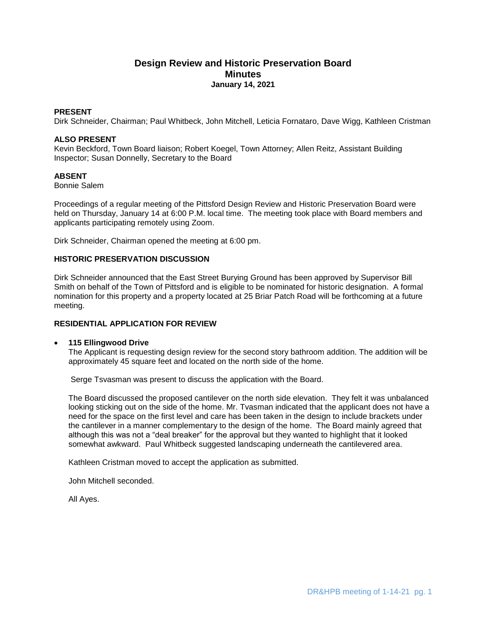# **Design Review and Historic Preservation Board Minutes January 14, 2021**

# **PRESENT**

Dirk Schneider, Chairman; Paul Whitbeck, John Mitchell, Leticia Fornataro, Dave Wigg, Kathleen Cristman

### **ALSO PRESENT**

Kevin Beckford, Town Board liaison; Robert Koegel, Town Attorney; Allen Reitz, Assistant Building Inspector; Susan Donnelly, Secretary to the Board

# **ABSENT**

Bonnie Salem

Proceedings of a regular meeting of the Pittsford Design Review and Historic Preservation Board were held on Thursday, January 14 at 6:00 P.M. local time. The meeting took place with Board members and applicants participating remotely using Zoom.

Dirk Schneider, Chairman opened the meeting at 6:00 pm.

# **HISTORIC PRESERVATION DISCUSSION**

Dirk Schneider announced that the East Street Burying Ground has been approved by Supervisor Bill Smith on behalf of the Town of Pittsford and is eligible to be nominated for historic designation. A formal nomination for this property and a property located at 25 Briar Patch Road will be forthcoming at a future meeting.

#### **RESIDENTIAL APPLICATION FOR REVIEW**

#### **115 Ellingwood Drive**

The Applicant is requesting design review for the second story bathroom addition. The addition will be approximately 45 square feet and located on the north side of the home.

Serge Tsvasman was present to discuss the application with the Board.

The Board discussed the proposed cantilever on the north side elevation. They felt it was unbalanced looking sticking out on the side of the home. Mr. Tvasman indicated that the applicant does not have a need for the space on the first level and care has been taken in the design to include brackets under the cantilever in a manner complementary to the design of the home. The Board mainly agreed that although this was not a "deal breaker" for the approval but they wanted to highlight that it looked somewhat awkward. Paul Whitbeck suggested landscaping underneath the cantilevered area.

Kathleen Cristman moved to accept the application as submitted.

John Mitchell seconded.

All Ayes.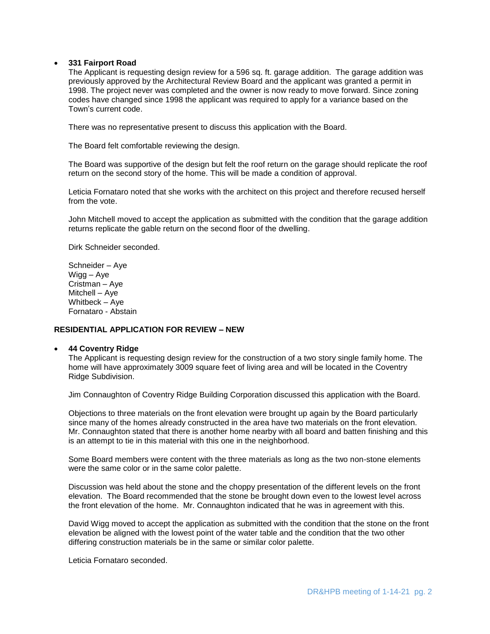#### **331 Fairport Road**

The Applicant is requesting design review for a 596 sq. ft. garage addition. The garage addition was previously approved by the Architectural Review Board and the applicant was granted a permit in 1998. The project never was completed and the owner is now ready to move forward. Since zoning codes have changed since 1998 the applicant was required to apply for a variance based on the Town's current code.

There was no representative present to discuss this application with the Board.

The Board felt comfortable reviewing the design.

The Board was supportive of the design but felt the roof return on the garage should replicate the roof return on the second story of the home. This will be made a condition of approval.

Leticia Fornataro noted that she works with the architect on this project and therefore recused herself from the vote.

John Mitchell moved to accept the application as submitted with the condition that the garage addition returns replicate the gable return on the second floor of the dwelling.

Dirk Schneider seconded.

Schneider – Aye Wigg – Aye Cristman – Aye Mitchell – Aye Whitbeck – Aye Fornataro - Abstain

# **RESIDENTIAL APPLICATION FOR REVIEW – NEW**

#### **44 Coventry Ridge**

The Applicant is requesting design review for the construction of a two story single family home. The home will have approximately 3009 square feet of living area and will be located in the Coventry Ridge Subdivision.

Jim Connaughton of Coventry Ridge Building Corporation discussed this application with the Board.

Objections to three materials on the front elevation were brought up again by the Board particularly since many of the homes already constructed in the area have two materials on the front elevation. Mr. Connaughton stated that there is another home nearby with all board and batten finishing and this is an attempt to tie in this material with this one in the neighborhood.

Some Board members were content with the three materials as long as the two non-stone elements were the same color or in the same color palette.

Discussion was held about the stone and the choppy presentation of the different levels on the front elevation. The Board recommended that the stone be brought down even to the lowest level across the front elevation of the home. Mr. Connaughton indicated that he was in agreement with this.

David Wigg moved to accept the application as submitted with the condition that the stone on the front elevation be aligned with the lowest point of the water table and the condition that the two other differing construction materials be in the same or similar color palette.

Leticia Fornataro seconded.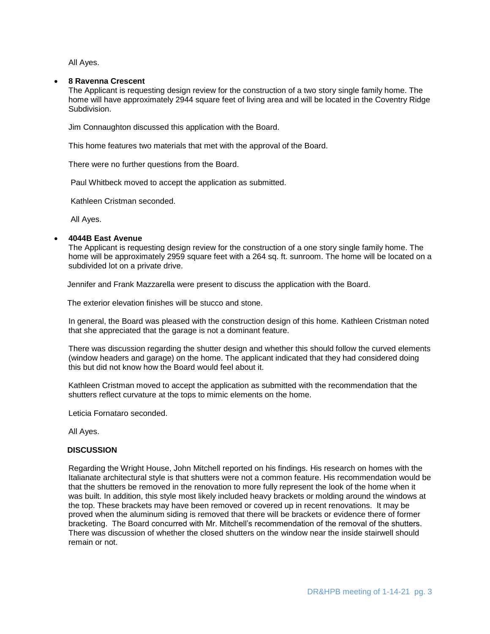All Ayes.

#### **8 Ravenna Crescent**

The Applicant is requesting design review for the construction of a two story single family home. The home will have approximately 2944 square feet of living area and will be located in the Coventry Ridge Subdivision.

Jim Connaughton discussed this application with the Board.

This home features two materials that met with the approval of the Board.

There were no further questions from the Board.

Paul Whitbeck moved to accept the application as submitted.

Kathleen Cristman seconded.

All Ayes.

# **4044B East Avenue**

The Applicant is requesting design review for the construction of a one story single family home. The home will be approximately 2959 square feet with a 264 sq. ft. sunroom. The home will be located on a subdivided lot on a private drive.

Jennifer and Frank Mazzarella were present to discuss the application with the Board.

The exterior elevation finishes will be stucco and stone.

In general, the Board was pleased with the construction design of this home. Kathleen Cristman noted that she appreciated that the garage is not a dominant feature.

There was discussion regarding the shutter design and whether this should follow the curved elements (window headers and garage) on the home. The applicant indicated that they had considered doing this but did not know how the Board would feel about it.

Kathleen Cristman moved to accept the application as submitted with the recommendation that the shutters reflect curvature at the tops to mimic elements on the home.

Leticia Fornataro seconded.

All Ayes.

#### **DISCUSSION**

Regarding the Wright House, John Mitchell reported on his findings. His research on homes with the Italianate architectural style is that shutters were not a common feature. His recommendation would be that the shutters be removed in the renovation to more fully represent the look of the home when it was built. In addition, this style most likely included heavy brackets or molding around the windows at the top. These brackets may have been removed or covered up in recent renovations. It may be proved when the aluminum siding is removed that there will be brackets or evidence there of former bracketing. The Board concurred with Mr. Mitchell's recommendation of the removal of the shutters. There was discussion of whether the closed shutters on the window near the inside stairwell should remain or not.